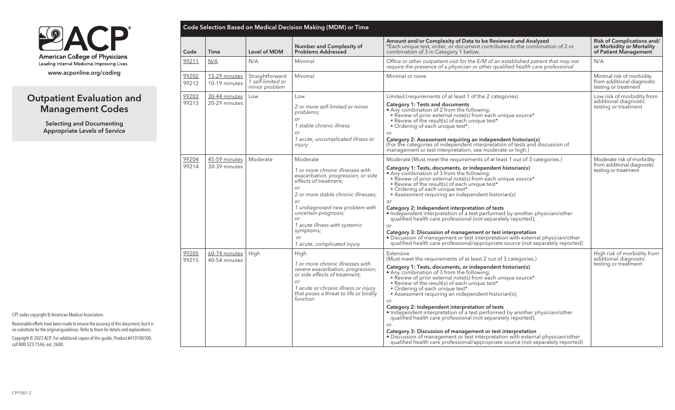

# Outpatient Evaluation and Management Codes

Selecting and Documenting Appropriate Levels of Service

|                        |                                |                                                       | <b>Code Selection Based on Medical Decision Making (MDM) or Time</b>                                                                                                                                                     |                                                                                                                                                                                                                                                                                                                                                                                                                                                                                                                                                                                                                                                                                                                                                                                                                                                  |                                                                                         |
|------------------------|--------------------------------|-------------------------------------------------------|--------------------------------------------------------------------------------------------------------------------------------------------------------------------------------------------------------------------------|--------------------------------------------------------------------------------------------------------------------------------------------------------------------------------------------------------------------------------------------------------------------------------------------------------------------------------------------------------------------------------------------------------------------------------------------------------------------------------------------------------------------------------------------------------------------------------------------------------------------------------------------------------------------------------------------------------------------------------------------------------------------------------------------------------------------------------------------------|-----------------------------------------------------------------------------------------|
| Code                   | Time                           | <b>Level of MDM</b>                                   | <b>Number and Complexity of</b><br><b>Problems Addressed</b>                                                                                                                                                             | Amount and/or Complexity of Data to be Reviewed and Analyzed<br>*Each unique test, order, or document contributes to the combination of 2 or<br>combination of 3 in Category 1 below.                                                                                                                                                                                                                                                                                                                                                                                                                                                                                                                                                                                                                                                            | <b>Risk of Complications and/</b><br>or Morbidity or Mortality<br>of Patient Management |
| 99211                  | N/A                            | N/A                                                   | Minimal                                                                                                                                                                                                                  | Office or other outpatient visit for the E/M of an established patient that may not<br>require the presence of a physician or other qualified health care professional                                                                                                                                                                                                                                                                                                                                                                                                                                                                                                                                                                                                                                                                           | N/A                                                                                     |
| 99202<br>99212         | 15-29 minutes<br>10-19 minutes | Straightforward<br>1 self-limited or<br>minor problem | Minimal                                                                                                                                                                                                                  | Minimal or none                                                                                                                                                                                                                                                                                                                                                                                                                                                                                                                                                                                                                                                                                                                                                                                                                                  | Minimal risk of morbidity<br>from additional diagnostic<br>testing or treatment         |
| 99203                  | 30-44 minutes                  | Low                                                   | Low                                                                                                                                                                                                                      | Limited (requirements of at least 1 of the 2 categories)                                                                                                                                                                                                                                                                                                                                                                                                                                                                                                                                                                                                                                                                                                                                                                                         | Low risk of morbidity from<br>additional diagnostic                                     |
|                        | 99213<br>20-29 minutes         |                                                       | 2 or more self-limited or minor<br>problems;<br>$\alpha$ r<br>1 stable chronic illness;                                                                                                                                  | <b>Category 1: Tests and documents</b><br>• Any combination of 2 from the following:<br>• Review of prior external note(s) from each unique source*<br>. Review of the result(s) of each unique test*<br>· Ordering of each unique test*;                                                                                                                                                                                                                                                                                                                                                                                                                                                                                                                                                                                                        | testing or treatment                                                                    |
|                        |                                |                                                       | or<br>1 acute, uncomplicated illness or<br>injury                                                                                                                                                                        | or<br>Category 2: Assessment requiring an independent historian(s)<br>(For the categories of independent interpretation of tests and discussion of<br>management or test interpretation, see moderate or high.)                                                                                                                                                                                                                                                                                                                                                                                                                                                                                                                                                                                                                                  |                                                                                         |
| 99204                  | 45-59 minutes                  | Moderate                                              | Moderate                                                                                                                                                                                                                 | Moderate (Must meet the requirements of at least 1 out of 3 categories.)                                                                                                                                                                                                                                                                                                                                                                                                                                                                                                                                                                                                                                                                                                                                                                         | Moderate risk of morbidity                                                              |
| 99214<br>30-39 minutes |                                |                                                       | 1 or more chronic illnesses with<br>exacerbation, progression, or side<br>effects of treatment;<br><b>or</b><br>2 or more stable chronic illnesses;<br><b>or</b><br>1 undiagnosed new problem with                       | Category 1: Tests, documents, or independent historian(s)<br>. Any combination of 3 from the following:<br>. Review of prior external note(s) from each unique source*<br>. Review of the result(s) of each unique test*<br>• Ordering of each unique test*<br>• Assessment requiring an independent historian(s)<br>or<br>Category 2: Independent interpretation of tests                                                                                                                                                                                                                                                                                                                                                                                                                                                                       | from additional diagnostic<br>testing or treatment                                      |
|                        |                                |                                                       | uncertain prognosis;<br>or<br>1 acute illness with systemic<br>symptoms;<br><b>or</b><br>1 acute, complicated injury                                                                                                     | • Independent interpretation of a test performed by another physician/other<br>qualified health care professional (not separately reported);<br>or<br>Category 3: Discussion of management or test interpretation<br>· Discussion of management or test interpretation with external physician/other<br>qualified health care professional/appropriate source (not separately reported)                                                                                                                                                                                                                                                                                                                                                                                                                                                          |                                                                                         |
| 99205<br>99215         | 60-74 minutes<br>40-54 minutes | High                                                  | High<br>1 or more chronic illnesses with<br>severe exacerbation, progression,<br>or side effects of treatment;<br><b>or</b><br>1 acute or chronic illness or injury<br>that poses a threat to life or bodily<br>function | Extensive<br>(Must meet the requirements of at least 2 out of 3 categories.)<br>Category 1: Tests, documents, or independent historian(s)<br>. Any combination of 3 from the following:<br>• Review of prior external note(s) from each unique source*<br>• Review of the result(s) of each unique test*<br>• Ordering of each unique test*<br>• Assessment requiring an independent historian(s);<br>or<br>Category 2: Independent interpretation of tests<br>• Independent interpretation of a test performed by another physician/other<br>qualified health care professional (not separately reported);<br>Category 3: Discussion of management or test interpretation<br>• Discussion of management or test interpretation with external physician/other<br>qualified health care professional/appropriate source (not separately reported) | High risk of morbidity from<br>additional diagnostic<br>testing or treatment            |

CPT codes copyright © American Medical Association.

Reasonable efforts have been made to ensure the accuracy of this document, but it is no substitute for the original guidelines. Refer to them for details and explanations.

Copyright © 2022 ACP. For additional copies of this guide, Product #410100100, call 800-523-1546, ext. 2600.